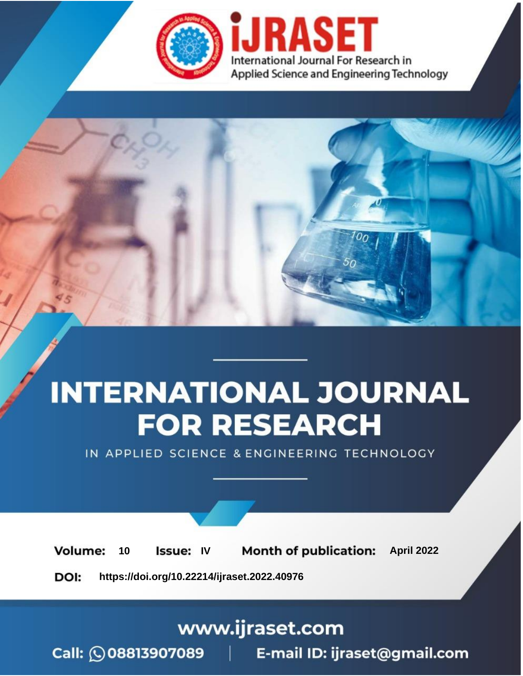

# **INTERNATIONAL JOURNAL FOR RESEARCH**

IN APPLIED SCIENCE & ENGINEERING TECHNOLOGY

10 **Issue: IV Month of publication:** April 2022 **Volume:** 

**https://doi.org/10.22214/ijraset.2022.40976**DOI:

www.ijraset.com

Call: 008813907089 | E-mail ID: ijraset@gmail.com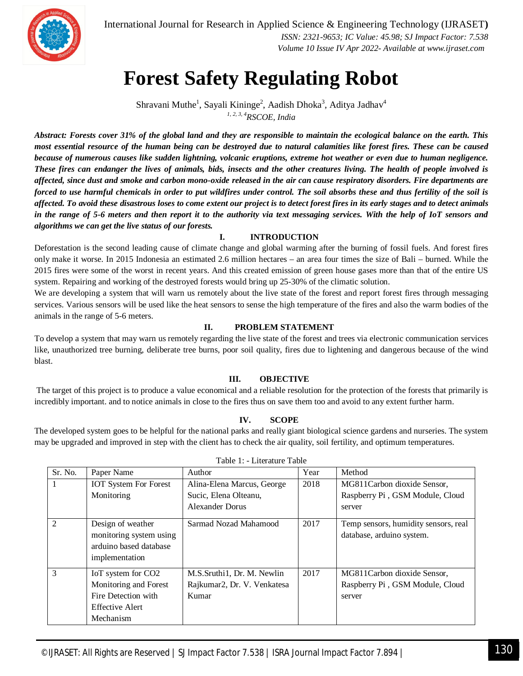

International Journal for Research in Applied Science & Engineering Technology (IJRASET**)**

 *ISSN: 2321-9653; IC Value: 45.98; SJ Impact Factor: 7.538 Volume 10 Issue IV Apr 2022- Available at www.ijraset.com*

### **Forest Safety Regulating Robot**

Shravani Muthe<sup>1</sup>, Sayali Kininge<sup>2</sup>, Aadish Dhoka<sup>3</sup>, Aditya Jadhav<sup>4</sup> *1, 2, 3, 4RSCOE, India*

*Abstract: Forests cover 31% of the global land and they are responsible to maintain the ecological balance on the earth. This most essential resource of the human being can be destroyed due to natural calamities like forest fires. These can be caused because of numerous causes like sudden lightning, volcanic eruptions, extreme hot weather or even due to human negligence. These fires can endanger the lives of animals, bids, insects and the other creatures living. The health of people involved is affected, since dust and smoke and carbon mono-oxide released in the air can cause respiratory disorders. Fire departments are forced to use harmful chemicals in order to put wildfires under control. The soil absorbs these and thus fertility of the soil is affected. To avoid these disastrous loses to come extent our project is to detect forest fires in its early stages and to detect animals in the range of 5-6 meters and then report it to the authority via text messaging services. With the help of IoT sensors and algorithms we can get the live status of our forests.* 

#### **I. INTRODUCTION**

Deforestation is the second leading cause of climate change and global warming after the burning of fossil fuels. And forest fires only make it worse. In 2015 Indonesia an estimated 2.6 million hectares – an area four times the size of Bali – burned. While the 2015 fires were some of the worst in recent years. And this created emission of green house gases more than that of the entire US system. Repairing and working of the destroyed forests would bring up 25-30% of the climatic solution.

We are developing a system that will warn us remotely about the live state of the forest and report forest fires through messaging services. Various sensors will be used like the heat sensors to sense the high temperature of the fires and also the warm bodies of the animals in the range of 5-6 meters.

#### **II. PROBLEM STATEMENT**

To develop a system that may warn us remotely regarding the live state of the forest and trees via electronic communication services like, unauthorized tree burning, deliberate tree burns, poor soil quality, fires due to lightening and dangerous because of the wind blast.

#### **III. OBJECTIVE**

The target of this project is to produce a value economical and a reliable resolution for the protection of the forests that primarily is incredibly important. and to notice animals in close to the fires thus on save them too and avoid to any extent further harm.

#### **IV. SCOPE**

The developed system goes to be helpful for the national parks and really giant biological science gardens and nurseries. The system may be upgraded and improved in step with the client has to check the air quality, soil fertility, and optimum temperatures.

| Sr. No.        | Paper Name                                                                                                            | Author                                                             | Year | Method                                                                   |
|----------------|-----------------------------------------------------------------------------------------------------------------------|--------------------------------------------------------------------|------|--------------------------------------------------------------------------|
| 1              | <b>IOT System For Forest</b>                                                                                          | Alina-Elena Marcus, George                                         | 2018 | MG811Carbon dioxide Sensor,                                              |
|                | Monitoring                                                                                                            | Sucic, Elena Olteanu,                                              |      | Raspberry Pi, GSM Module, Cloud                                          |
|                |                                                                                                                       | <b>Alexander Dorus</b>                                             |      | server                                                                   |
| $\mathfrak{D}$ | Design of weather<br>monitoring system using<br>arduino based database<br>implementation                              | Sarmad Nozad Mahamood                                              | 2017 | Temp sensors, humidity sensors, real<br>database, arduino system.        |
| 3              | IoT system for CO <sub>2</sub><br>Monitoring and Forest<br>Fire Detection with<br><b>Effective Alert</b><br>Mechanism | M.S.Sruthi1, Dr. M. Newlin<br>Rajkumar2, Dr. V. Venkatesa<br>Kumar | 2017 | MG811Carbon dioxide Sensor,<br>Raspberry Pi, GSM Module, Cloud<br>server |

Table 1: - Literature Table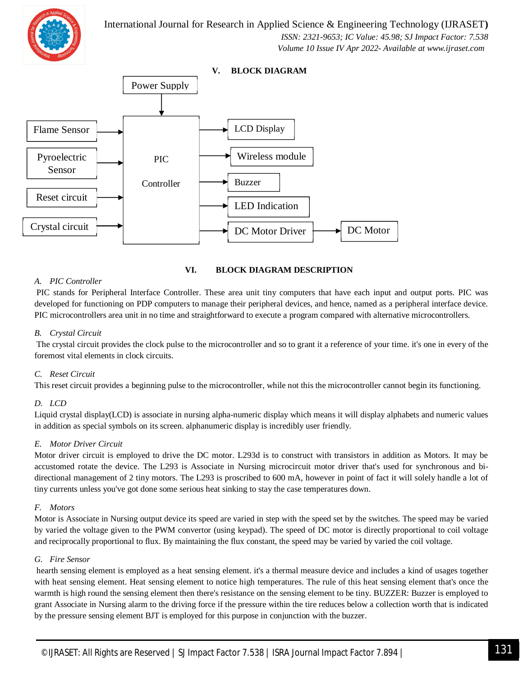International Journal for Research in Applied Science & Engineering Technology (IJRASET**)**



 *ISSN: 2321-9653; IC Value: 45.98; SJ Impact Factor: 7.538 Volume 10 Issue IV Apr 2022- Available at www.ijraset.com*



#### **VI. BLOCK DIAGRAM DESCRIPTION**

#### *A. PIC Controller*

PIC stands for Peripheral Interface Controller. These area unit tiny computers that have each input and output ports. PIC was developed for functioning on PDP computers to manage their peripheral devices, and hence, named as a peripheral interface device. PIC microcontrollers area unit in no time and straightforward to execute a program compared with alternative microcontrollers.

#### *B. Crystal Circuit*

The crystal circuit provides the clock pulse to the microcontroller and so to grant it a reference of your time. it's one in every of the foremost vital elements in clock circuits.

#### *C. Reset Circuit*

This reset circuit provides a beginning pulse to the microcontroller, while not this the microcontroller cannot begin its functioning.

#### *D. LCD*

Liquid crystal display(LCD) is associate in nursing alpha-numeric display which means it will display alphabets and numeric values in addition as special symbols on its screen. alphanumeric display is incredibly user friendly.

#### *E. Motor Driver Circuit*

Motor driver circuit is employed to drive the DC motor. L293d is to construct with transistors in addition as Motors. It may be accustomed rotate the device. The L293 is Associate in Nursing microcircuit motor driver that's used for synchronous and bidirectional management of 2 tiny motors. The L293 is proscribed to 600 mA, however in point of fact it will solely handle a lot of tiny currents unless you've got done some serious heat sinking to stay the case temperatures down.

#### *F. Motors*

Motor is Associate in Nursing output device its speed are varied in step with the speed set by the switches. The speed may be varied by varied the voltage given to the PWM convertor (using keypad). The speed of DC motor is directly proportional to coil voltage and reciprocally proportional to flux. By maintaining the flux constant, the speed may be varied by varied the coil voltage.

#### *G. Fire Sensor*

hearth sensing element is employed as a heat sensing element. it's a thermal measure device and includes a kind of usages together with heat sensing element. Heat sensing element to notice high temperatures. The rule of this heat sensing element that's once the warmth is high round the sensing element then there's resistance on the sensing element to be tiny. BUZZER: Buzzer is employed to grant Associate in Nursing alarm to the driving force if the pressure within the tire reduces below a collection worth that is indicated by the pressure sensing element BJT is employed for this purpose in conjunction with the buzzer.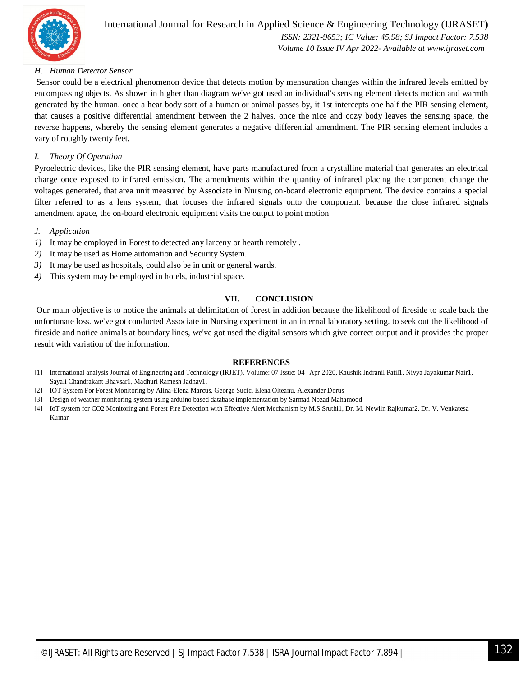

#### International Journal for Research in Applied Science & Engineering Technology (IJRASET**)**  *ISSN: 2321-9653; IC Value: 45.98; SJ Impact Factor: 7.538*

 *Volume 10 Issue IV Apr 2022- Available at www.ijraset.com*

#### *H. Human Detector Sensor*

Sensor could be a electrical phenomenon device that detects motion by mensuration changes within the infrared levels emitted by encompassing objects. As shown in higher than diagram we've got used an individual's sensing element detects motion and warmth generated by the human. once a heat body sort of a human or animal passes by, it 1st intercepts one half the PIR sensing element, that causes a positive differential amendment between the 2 halves. once the nice and cozy body leaves the sensing space, the reverse happens, whereby the sensing element generates a negative differential amendment. The PIR sensing element includes a vary of roughly twenty feet.

#### *I. Theory Of Operation*

Pyroelectric devices, like the PIR sensing element, have parts manufactured from a crystalline material that generates an electrical charge once exposed to infrared emission. The amendments within the quantity of infrared placing the component change the voltages generated, that area unit measured by Associate in Nursing on-board electronic equipment. The device contains a special filter referred to as a lens system, that focuses the infrared signals onto the component. because the close infrared signals amendment apace, the on-board electronic equipment visits the output to point motion

#### *J. Application*

- *1)* It may be employed in Forest to detected any larceny or hearth remotely .
- *2)* It may be used as Home automation and Security System.
- *3)* It may be used as hospitals, could also be in unit or general wards.
- *4)* This system may be employed in hotels, industrial space.

#### **VII. CONCLUSION**

Our main objective is to notice the animals at delimitation of forest in addition because the likelihood of fireside to scale back the unfortunate loss. we've got conducted Associate in Nursing experiment in an internal laboratory setting. to seek out the likelihood of fireside and notice animals at boundary lines, we've got used the digital sensors which give correct output and it provides the proper result with variation of the information.

#### **REFERENCES**

- [1] International analysis Journal of Engineering and Technology (IRJET), Volume: 07 Issue: 04 | Apr 2020, Kaushik Indranil Patil1, Nivya Jayakumar Nair1, Sayali Chandrakant Bhavsar1, Madhuri Ramesh Jadhav1.
- [2] IOT System For Forest Monitoring by Alina-Elena Marcus, George Sucic, Elena Olteanu, Alexander Dorus
- [3] Design of weather monitoring system using arduino based database implementation by Sarmad Nozad Mahamood
- [4] IoT system for CO2 Monitoring and Forest Fire Detection with Effective Alert Mechanism by M.S.Sruthi1, Dr. M. Newlin Rajkumar2, Dr. V. Venkatesa Kumar